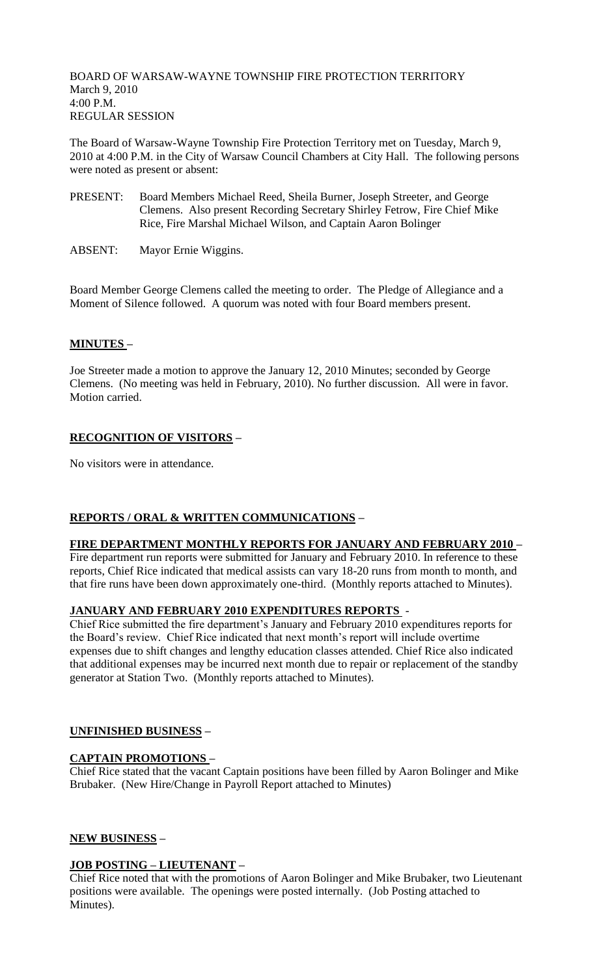BOARD OF WARSAW-WAYNE TOWNSHIP FIRE PROTECTION TERRITORY March 9, 2010 4:00 P.M. REGULAR SESSION

The Board of Warsaw-Wayne Township Fire Protection Territory met on Tuesday, March 9, 2010 at 4:00 P.M. in the City of Warsaw Council Chambers at City Hall. The following persons were noted as present or absent:

- PRESENT: Board Members Michael Reed, Sheila Burner, Joseph Streeter, and George Clemens. Also present Recording Secretary Shirley Fetrow, Fire Chief Mike Rice, Fire Marshal Michael Wilson, and Captain Aaron Bolinger
- ABSENT: Mayor Ernie Wiggins.

Board Member George Clemens called the meeting to order. The Pledge of Allegiance and a Moment of Silence followed. A quorum was noted with four Board members present.

### **MINUTES –**

Joe Streeter made a motion to approve the January 12, 2010 Minutes; seconded by George Clemens. (No meeting was held in February, 2010). No further discussion. All were in favor. Motion carried.

# **RECOGNITION OF VISITORS –**

No visitors were in attendance.

# **REPORTS / ORAL & WRITTEN COMMUNICATIONS –**

### **FIRE DEPARTMENT MONTHLY REPORTS FOR JANUARY AND FEBRUARY 2010 –**

Fire department run reports were submitted for January and February 2010. In reference to these reports, Chief Rice indicated that medical assists can vary 18-20 runs from month to month, and that fire runs have been down approximately one-third. (Monthly reports attached to Minutes).

### **JANUARY AND FEBRUARY 2010 EXPENDITURES REPORTS** -

Chief Rice submitted the fire department's January and February 2010 expenditures reports for the Board's review. Chief Rice indicated that next month's report will include overtime expenses due to shift changes and lengthy education classes attended. Chief Rice also indicated that additional expenses may be incurred next month due to repair or replacement of the standby generator at Station Two. (Monthly reports attached to Minutes).

### **UNFINISHED BUSINESS –**

### **CAPTAIN PROMOTIONS –**

Chief Rice stated that the vacant Captain positions have been filled by Aaron Bolinger and Mike Brubaker. (New Hire/Change in Payroll Report attached to Minutes)

### **NEW BUSINESS –**

### **JOB POSTING – LIEUTENANT –**

Chief Rice noted that with the promotions of Aaron Bolinger and Mike Brubaker, two Lieutenant positions were available. The openings were posted internally. (Job Posting attached to Minutes).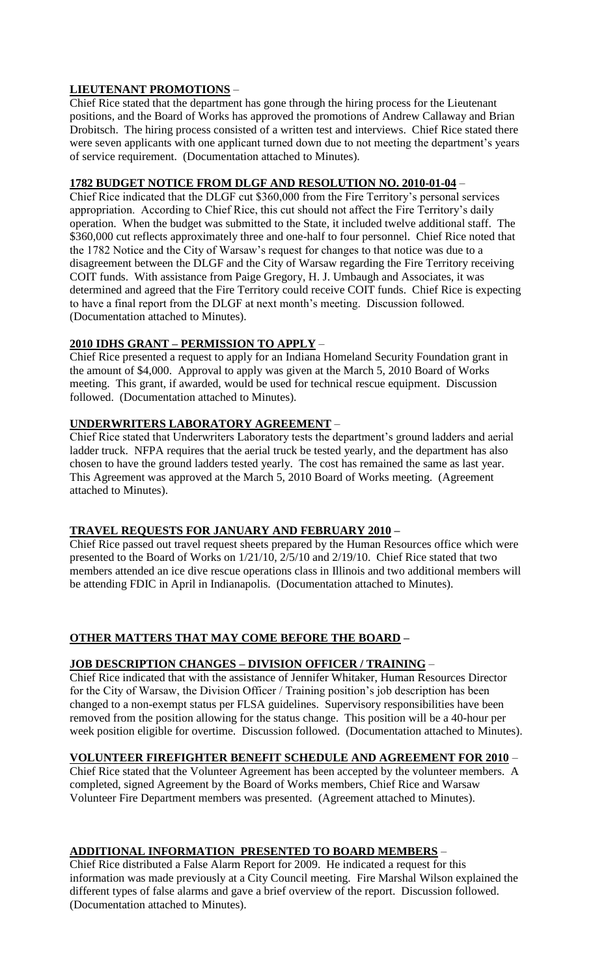### **LIEUTENANT PROMOTIONS** –

Chief Rice stated that the department has gone through the hiring process for the Lieutenant positions, and the Board of Works has approved the promotions of Andrew Callaway and Brian Drobitsch. The hiring process consisted of a written test and interviews. Chief Rice stated there were seven applicants with one applicant turned down due to not meeting the department's years of service requirement. (Documentation attached to Minutes).

#### **1782 BUDGET NOTICE FROM DLGF AND RESOLUTION NO. 2010-01-04** –

Chief Rice indicated that the DLGF cut \$360,000 from the Fire Territory's personal services appropriation. According to Chief Rice, this cut should not affect the Fire Territory's daily operation. When the budget was submitted to the State, it included twelve additional staff. The \$360,000 cut reflects approximately three and one-half to four personnel. Chief Rice noted that the 1782 Notice and the City of Warsaw's request for changes to that notice was due to a disagreement between the DLGF and the City of Warsaw regarding the Fire Territory receiving COIT funds. With assistance from Paige Gregory, H. J. Umbaugh and Associates, it was determined and agreed that the Fire Territory could receive COIT funds. Chief Rice is expecting to have a final report from the DLGF at next month's meeting. Discussion followed. (Documentation attached to Minutes).

# **2010 IDHS GRANT – PERMISSION TO APPLY** –

Chief Rice presented a request to apply for an Indiana Homeland Security Foundation grant in the amount of \$4,000. Approval to apply was given at the March 5, 2010 Board of Works meeting. This grant, if awarded, would be used for technical rescue equipment. Discussion followed. (Documentation attached to Minutes).

#### **UNDERWRITERS LABORATORY AGREEMENT** –

Chief Rice stated that Underwriters Laboratory tests the department's ground ladders and aerial ladder truck. NFPA requires that the aerial truck be tested yearly, and the department has also chosen to have the ground ladders tested yearly. The cost has remained the same as last year. This Agreement was approved at the March 5, 2010 Board of Works meeting. (Agreement attached to Minutes).

### **TRAVEL REQUESTS FOR JANUARY AND FEBRUARY 2010 –**

Chief Rice passed out travel request sheets prepared by the Human Resources office which were presented to the Board of Works on 1/21/10, 2/5/10 and 2/19/10. Chief Rice stated that two members attended an ice dive rescue operations class in Illinois and two additional members will be attending FDIC in April in Indianapolis. (Documentation attached to Minutes).

#### **OTHER MATTERS THAT MAY COME BEFORE THE BOARD –**

#### **JOB DESCRIPTION CHANGES – DIVISION OFFICER / TRAINING** –

Chief Rice indicated that with the assistance of Jennifer Whitaker, Human Resources Director for the City of Warsaw, the Division Officer / Training position's job description has been changed to a non-exempt status per FLSA guidelines. Supervisory responsibilities have been removed from the position allowing for the status change. This position will be a 40-hour per week position eligible for overtime. Discussion followed. (Documentation attached to Minutes).

#### **VOLUNTEER FIREFIGHTER BENEFIT SCHEDULE AND AGREEMENT FOR 2010** –

Chief Rice stated that the Volunteer Agreement has been accepted by the volunteer members. A completed, signed Agreement by the Board of Works members, Chief Rice and Warsaw Volunteer Fire Department members was presented. (Agreement attached to Minutes).

#### **ADDITIONAL INFORMATION PRESENTED TO BOARD MEMBERS** –

Chief Rice distributed a False Alarm Report for 2009. He indicated a request for this information was made previously at a City Council meeting. Fire Marshal Wilson explained the different types of false alarms and gave a brief overview of the report. Discussion followed. (Documentation attached to Minutes).